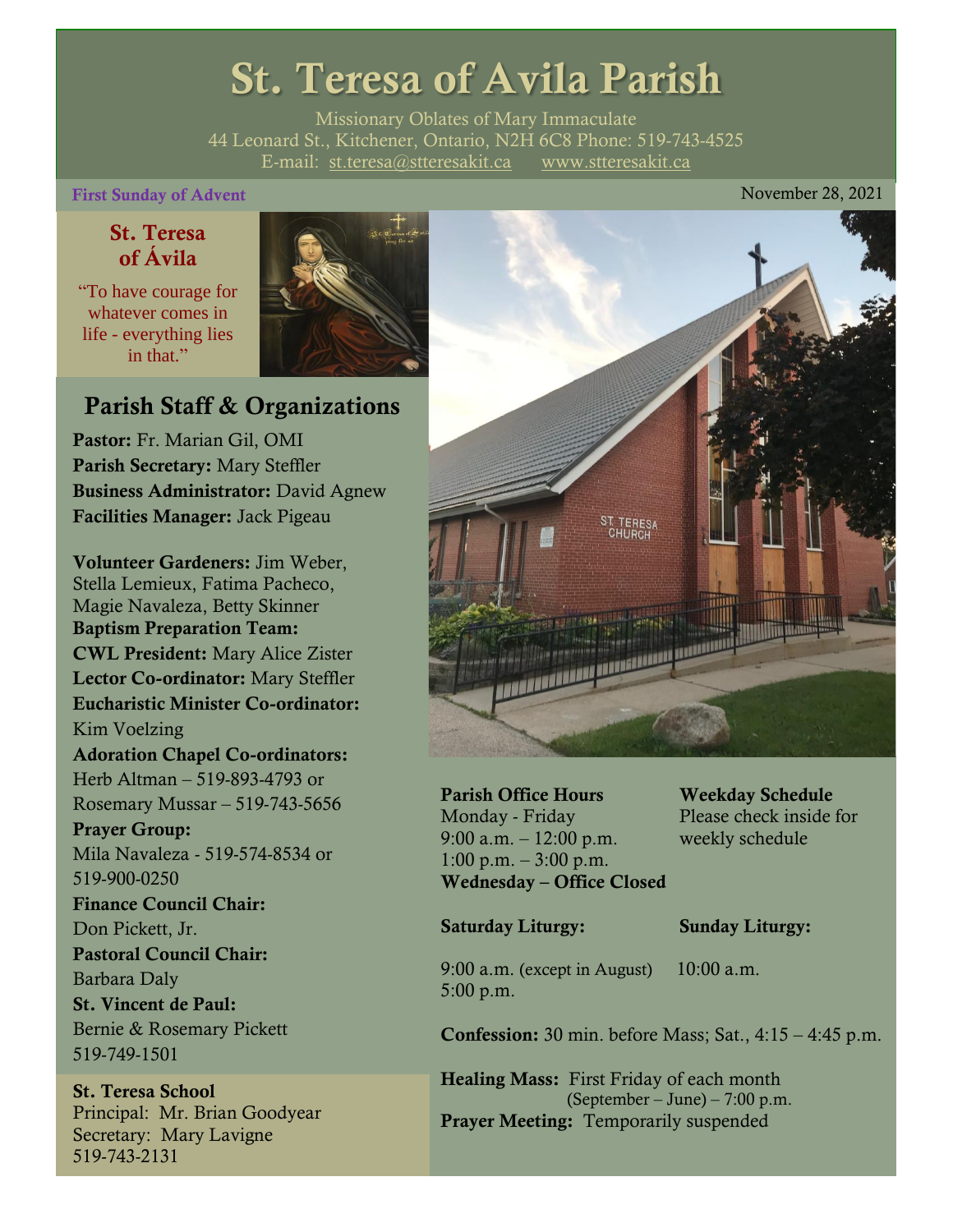# St. Teresa of Avila Parish

Missionary Oblates of Mary Immaculate 44 Leonard St., Kitchener, Ontario, N2H 6C8 Phone: 519-743-4525 E-mail: [st.teresa@stteresakit.ca](mailto:st.teresa@stteresakit.ca) [www.stteresakit.ca](http://www.stteresakit.ca/)

#### First Sunday of Advent **November 28, 2021**

### St. Teresa of Ávila

"To have courage for whatever comes in life - everything lies in that"



## Parish Staff & Organizations

Pastor: Fr. Marian Gil, OMI Parish Secretary: Mary Steffler Business Administrator: David Agnew Facilities Manager: Jack Pigeau

Volunteer Gardeners: Jim Weber, Stella Lemieux, Fatima Pacheco, Magie Navaleza, Betty Skinner Baptism Preparation Team: CWL President: Mary Alice Zister Lector Co-ordinator: Mary Steffler Eucharistic Minister Co-ordinator: Kim Voelzing Adoration Chapel Co-ordinators: Herb Altman – 519-893-4793 or Rosemary Mussar – 519-743-5656 Prayer Group: Mila Navaleza - 519-574-8534 or 519-900-0250 Finance Council Chair: Don Pickett, Jr. Pastoral Council Chair: Barbara Daly St. Vincent de Paul: Bernie & Rosemary Pickett 519-749-1501

St. Teresa School Principal: Mr. Brian Goodyear Secretary: Mary Lavigne 519-743-2131



Parish Office Hours Weekday Schedule Monday - Friday Please check inside for 9:00 a.m. – 12:00 p.m. weekly schedule  $1:00 \text{ p.m.} - 3:00 \text{ p.m.}$ Wednesday – Office Closed

#### Saturday Liturgy: Sunday Liturgy:

9:00 a.m. (except in August) 10:00 a.m. 5:00 p.m.

Confession: 30 min. before Mass; Sat., 4:15 – 4:45 p.m.

Healing Mass: First Friday of each month (September – June) – 7:00 p.m. Prayer Meeting: Temporarily suspended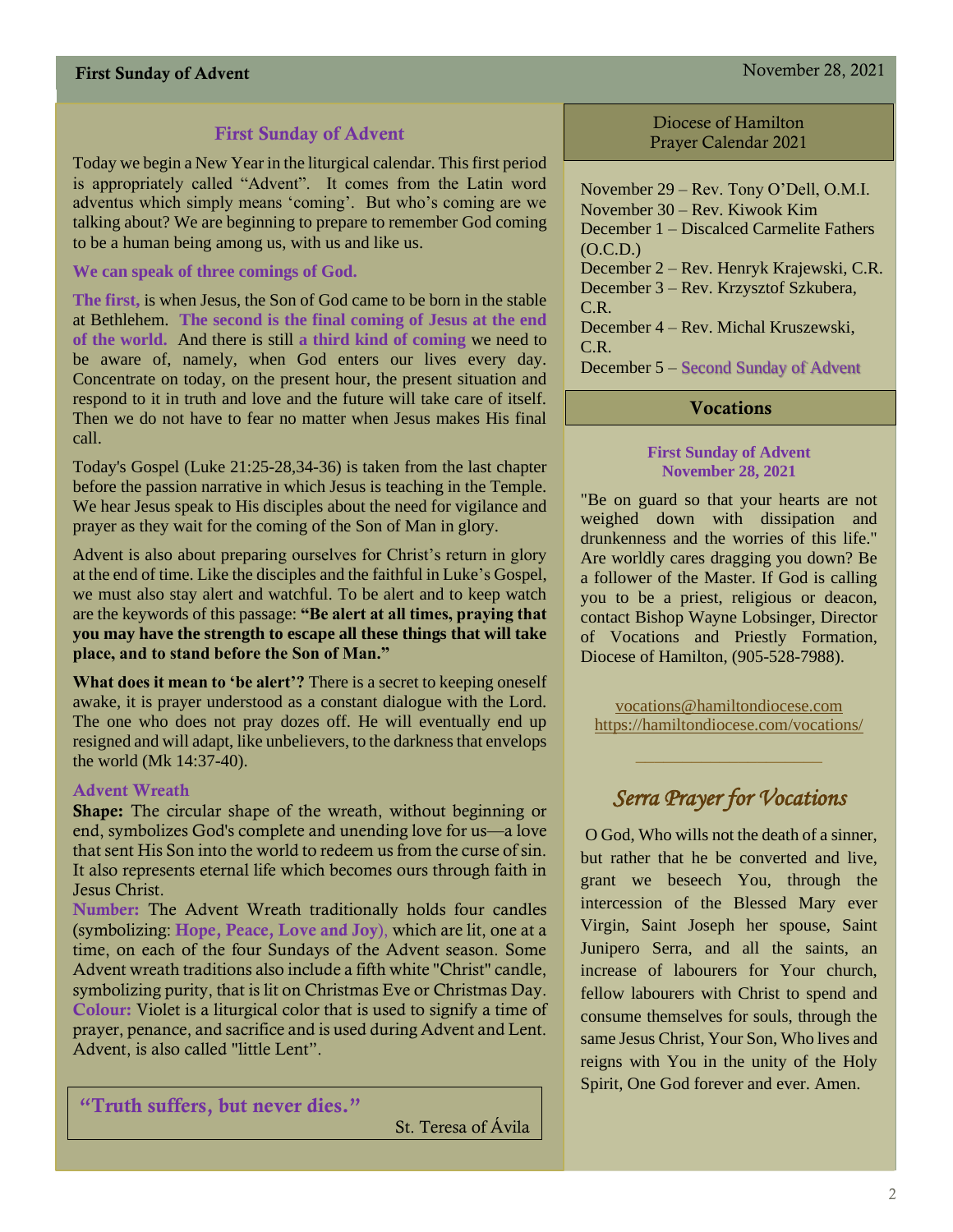#### First Sunday of Advent November 28, 2021

### First Sunday of Advent

Today we begin a New Year in the liturgical calendar. This first period is appropriately called "Advent". It comes from the Latin word adventus which simply means 'coming'. But who's coming are we talking about? We are beginning to prepare to remember God coming to be a human being among us, with us and like us.

#### **We can speak of three comings of God.**

**The first,** is when Jesus, the Son of God came to be born in the stable at Bethlehem. **The second is the final coming of Jesus at the end of the world.** And there is still **a third kind of coming** we need to be aware of, namely, when God enters our lives every day. Concentrate on today, on the present hour, the present situation and respond to it in truth and love and the future will take care of itself. Then we do not have to fear no matter when Jesus makes His final call.

Today's Gospel (Luke 21:25-28,34-36) is taken from the last chapter before the passion narrative in which Jesus is teaching in the Temple. We hear Jesus speak to His disciples about the need for vigilance and prayer as they wait for the coming of the Son of Man in glory.

Advent is also about preparing ourselves for Christ's return in glory at the end of time. Like the disciples and the faithful in Luke's Gospel, we must also stay alert and watchful. To be alert and to keep watch are the keywords of this passage: **"Be alert at all times, praying that you may have the strength to escape all these things that will take place, and to stand before the Son of Man."**

**What does it mean to 'be alert'?** There is a secret to keeping oneself awake, it is prayer understood as a constant dialogue with the Lord. The one who does not pray dozes off. He will eventually end up resigned and will adapt, like unbelievers, to the darkness that envelops the world (Mk 14:37-40).

#### Advent Wreath

Shape: The circular shape of the wreath, without beginning or end, symbolizes God's complete and unending love for us—a love that sent His Son into the world to redeem us from the curse of sin. It also represents eternal life which becomes ours through faith in Jesus Christ.

Number: The Advent Wreath traditionally holds four candles (symbolizing: Hope, Peace, Love and Joy), which are lit, one at a time, on each of the four Sundays of the Advent season. Some Advent wreath traditions also include a fifth white "Christ" candle, symbolizing purity, that is lit on Christmas Eve or Christmas Day. Colour: Violet is a liturgical color that is used to signify a time of prayer, penance, and sacrifice and is used during Advent and Lent. Advent, is also called "little Lent".

"Truth suffers, but never dies."

St. Teresa of Ávila

Diocese of Hamilton Prayer Calendar 2021

November 29 – Rev. Tony O'Dell, O.M.I. November 30 – Rev. Kiwook Kim December 1 – Discalced Carmelite Fathers  $(O.C.D.)$ December 2 – Rev. Henryk Krajewski, C.R. December 3 – Rev. Krzysztof Szkubera, C.R.

December 4 – Rev. Michal Kruszewski, C.R.

December 5 – Second Sunday of Advent

#### **Vocations**

#### **First Sunday of Advent November 28, 2021**

"Be on guard so that your hearts are not weighed down with dissipation and drunkenness and the worries of this life." Are worldly cares dragging you down? Be a follower of the Master. If God is calling you to be a priest, religious or deacon, contact Bishop Wayne Lobsinger, Director of Vocations and Priestly Formation, Diocese of Hamilton, (905-528-7988).

[vocations@hamiltondiocese.com](mailto:vocations@hamiltondiocese.com)  <https://hamiltondiocese.com/vocations/>

## *Serra Prayer for Vocations*

O God, Who wills not the death of a sinner, but rather that he be converted and live, grant we beseech You, through the intercession of the Blessed Mary ever Virgin, Saint Joseph her spouse, Saint Junipero Serra, and all the saints, an increase of labourers for Your church, fellow labourers with Christ to spend and consume themselves for souls, through the same Jesus Christ, Your Son, Who lives and reigns with You in the unity of the Holy Spirit, One God forever and ever. Amen.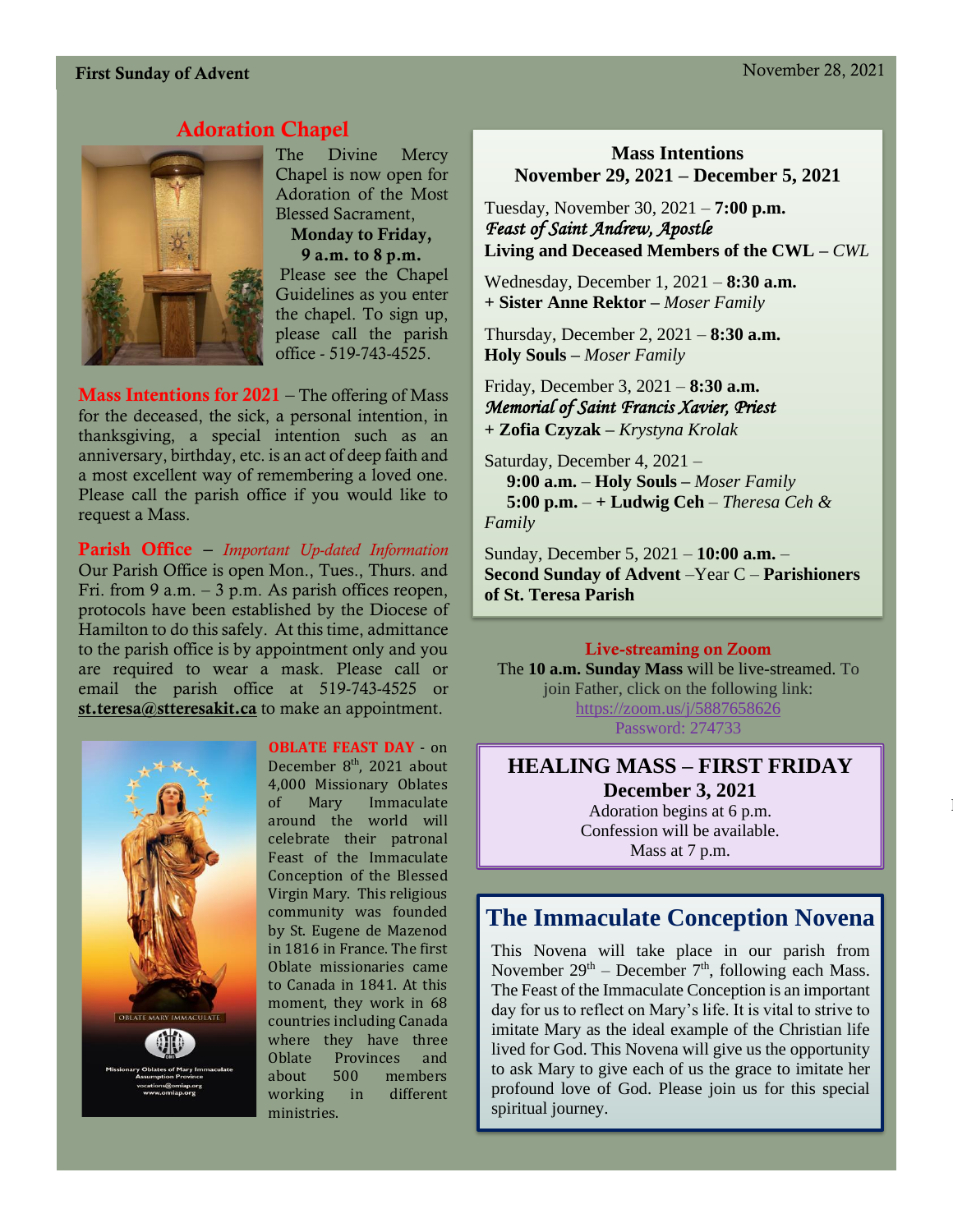#### First Sunday of Advent November 28, 2021

### Adoration Chapel



The Divine Mercy Chapel is now open for Adoration of the Most Blessed Sacrament, Monday to Friday, 9 a.m. to 8 p.m. Please see the Chapel Guidelines as you enter the chapel. To sign up, please call the parish office - 519-743-4525.

**Mass Intentions for 2021** – The offering of Mass for the deceased, the sick, a personal intention, in thanksgiving, a special intention such as an anniversary, birthday, etc. is an act of deep faith and a most excellent way of remembering a loved one. Please call the parish office if you would like to request a Mass.

Parish Office – *Important Up-dated Information*  Our Parish Office is open Mon., Tues., Thurs. and Fri. from 9 a.m.  $-3$  p.m. As parish offices reopen, protocols have been established by the Diocese of Hamilton to do this safely. At this time, admittance to the parish office is by appointment only and you are required to wear a mask. Please call or email the parish office at 519-743-4525 or [st.teresa@stteresakit.ca](mailto:st.teresa@stteresakit.ca) to make an appointment.



**OBLATE FEAST DAY** - on

December 8<sup>th</sup>, 2021 about 4,000 Missionary Oblates of Mary Immaculate around the world will celebrate their patronal Feast of the Immaculate Conception of the Blessed Virgin Mary. This religious community was founded by St. Eugene de Mazenod in 1816 in France. The first Oblate missionaries came to Canada in 1841. At this moment, they work in 68 countries including Canada where they have three Oblate Provinces and about 500 members working in different ministries.

#### **Mass Intentions November 29, 2021 – December 5, 2021**

Tuesday, November 30, 2021 – **7:00 p.m.**  *Feast of Saint Andrew, Apostle* **Living and Deceased Members of the CWL –** *CWL*

Wednesday, December 1, 2021 – **8:30 a.m.** **+ Sister Anne Rektor –** *Moser Family*

Thursday, December 2, 2021 – **8:30 a.m. Holy Souls –** *Moser Family*

Friday, December 3, 2021 – **8:30 a.m.** *Memorial of Saint Francis Xavier, Priest* **+ Zofia Czyzak –** *Krystyna Krolak*

Saturday, December 4, 2021 –  **9:00 a.m.** – **Holy Souls –** *Moser Family* **5:00 p.m.** – **+ Ludwig Ceh** – *Theresa Ceh & Family*

Sunday, December 5, 2021 – **10:00 a.m.** – **Second Sunday of Advent** –Year C – **Parishioners of St. Teresa Parish** 

#### Live-streaming on Zoom

The **10 a.m. Sunday Mass** will be live-streamed. To join Father, click on the following link: <https://zoom.us/j/5887658626> Password: 274733

**HEALING MASS – FIRST FRIDAY December 3, 2021** Adoration begins at 6 p.m. Confession will be available. Mass at 7 p.m.

Lectors may find daily readings at this link:

## **The Immaculate Conception Novena**

This Novena will take place in our parish from November  $29<sup>th</sup>$  – December  $7<sup>th</sup>$ , following each Mass. The Feast of the Immaculate Conception is an important day for us to reflect on Mary's life. It is vital to strive to imitate Mary as the ideal example of the Christian life lived for God. This Novena will give us the opportunity to ask Mary to give each of us the grace to imitate her profound love of God. Please join us for this special spiritual journey.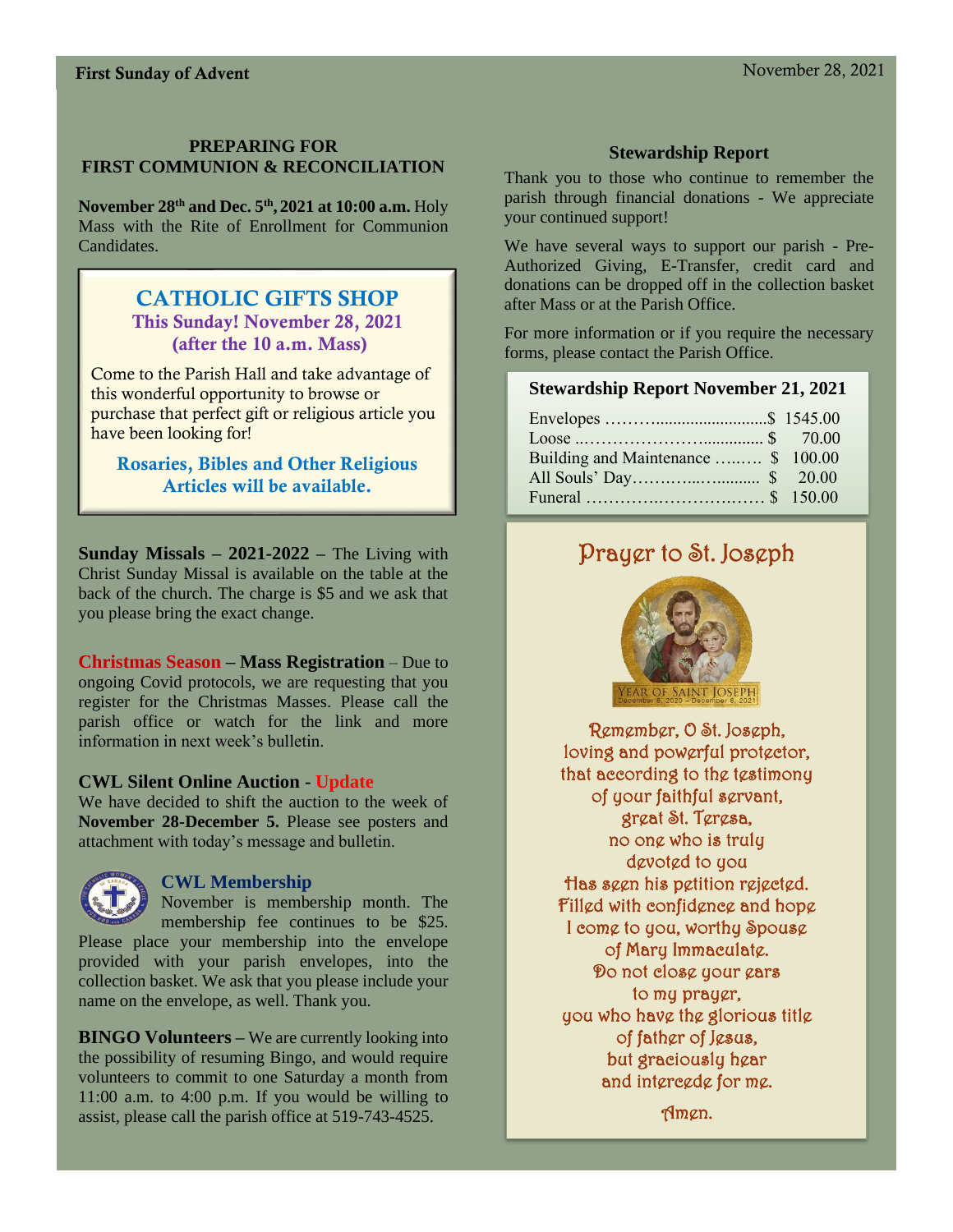#### **PREPARING FOR FIRST COMMUNION & RECONCILIATION**

**November 28th and Dec. 5th , 2021 at 10:00 a.m.** Holy Mass with the Rite of Enrollment for Communion Candidates.

#### CATHOLIC GIFTS SHOP This Sunday! November 28, 2021 (after the 10 a.m. Mass)

Come to the Parish Hall and take advantage of this wonderful opportunity to browse or purchase that perfect gift or religious article you have been looking for!

Rosaries, Bibles and Other Religious Articles will be available.

**Sunday Missals – 2021-2022 –** The Living with Christ Sunday Missal is available on the table at the back of the church. The charge is \$5 and we ask that you please bring the exact change.

**Christmas Season – Mass Registration** – Due to ongoing Covid protocols, we are requesting that you register for the Christmas Masses. Please call the parish office or watch for the link and more information in next week's bulletin.

#### **CWL Silent Online Auction - Update**

We have decided to shift the auction to the week of **November 28-December 5.** Please see posters and attachment with today's message and bulletin.



#### **CWL Membership**

November is membership month. The membership fee continues to be \$25. Please place your membership into the envelope provided with your parish envelopes, into the collection basket. We ask that you please include your name on the envelope, as well. Thank you.

**BINGO Volunteers –** We are currently looking into the possibility of resuming Bingo, and would require volunteers to commit to one Saturday a month from 11:00 a.m. to 4:00 p.m. If you would be willing to assist, please call the parish office at 519-743-4525.

### **Stewardship Report**

Thank you to those who continue to remember the parish through financial donations - We appreciate your continued support!

We have several ways to support our parish - Pre-Authorized Giving, E-Transfer, credit card and donations can be dropped off in the collection basket after Mass or at the Parish Office.

For more information or if you require the necessary forms, please contact the Parish Office.

#### **Stewardship Report November 21, 2021**

| Building and Maintenance  \$ 100.00 |  |
|-------------------------------------|--|
|                                     |  |
|                                     |  |

## Prayer to St. Joseph



Remember, O St. Joseph, loving and powerful protector, that according to the testimony of your faithful servant, great St. Teresa, no one who is truly devoted to you Has seen his petition rejected. Filled with confidence and hope I come to you, worthy Spouse of Mary Immaculate. Do not close your ears to my prayer, you who have the glorious title of father of Jesus, but graciously hear and intercede for me.

Amen.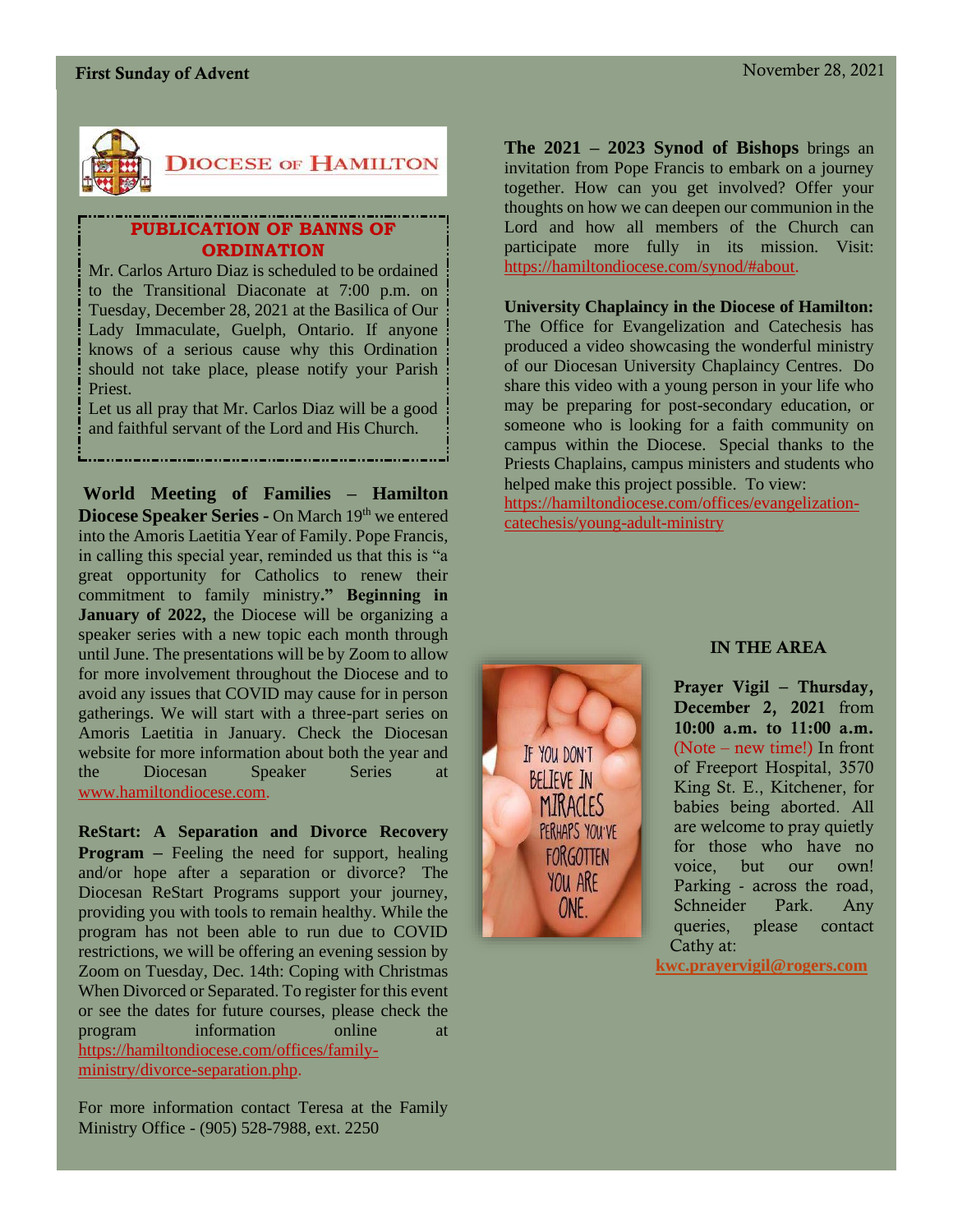

#### **PUBLICATION OF BANNS OF ORDINATION**

Mr. Carlos Arturo Diaz is scheduled to be ordained to the Transitional Diaconate at 7:00 p.m. on Tuesday, December 28, 2021 at the Basilica of Our Lady Immaculate, Guelph, Ontario. If anyone knows of a serious cause why this Ordination should not take place, please notify your Parish Priest.

Let us all pray that Mr. Carlos Diaz will be a good and faithful servant of the Lord and His Church.

**World Meeting of Families – Hamilton Diocese Speaker Series -** On March 19th we entered into the Amoris Laetitia Year of Family. Pope Francis, in calling this special year, reminded us that this is "a great opportunity for Catholics to renew their commitment to family ministry**." Beginning in January of 2022,** the Diocese will be organizing a speaker series with a new topic each month through until June. The presentations will be by Zoom to allow for more involvement throughout the Diocese and to avoid any issues that COVID may cause for in person gatherings. We will start with a three-part series on Amoris Laetitia in January. Check the Diocesan website for more information about both the year and the Diocesan Speaker Series at [www.hamiltondiocese.com.](http://www.hamiltondiocese.com/)

**ReStart: A Separation and Divorce Recovery Program –** Feeling the need for support, healing and/or hope after a separation or divorce? The Diocesan ReStart Programs support your journey, providing you with tools to remain healthy. While the program has not been able to run due to COVID restrictions, we will be offering an evening session by Zoom on Tuesday, Dec. 14th: Coping with Christmas When Divorced or Separated. To register for this event or see the dates for future courses, please check the program information online at [https://hamiltondiocese.com/offices/family](https://hamiltondiocese.com/offices/family-ministry/divorce-separation.php)[ministry/divorce-separation.php.](https://hamiltondiocese.com/offices/family-ministry/divorce-separation.php)

For more information contact Teresa at the Family Ministry Office - (905) 528-7988, ext. 2250

**The 2021 – 2023 Synod of Bishops** brings an invitation from Pope Francis to embark on a journey together. How can you get involved? Offer your thoughts on how we can deepen our communion in the Lord and how all members of the Church can participate more fully in its mission. Visit: [https://hamiltondiocese.com/synod/#about.](https://hamiltondiocese.com/synod/#about)

#### **University Chaplaincy in the Diocese of Hamilton:**  The Office for Evangelization and Catechesis has produced a video showcasing the wonderful ministry of our Diocesan University Chaplaincy Centres. Do share this video with a young person in your life who may be preparing for post-secondary education, or someone who is looking for a faith community on campus within the Diocese. Special thanks to the Priests Chaplains, campus ministers and students who helped make this project possible. To view: [https://hamiltondiocese.com/offices/evangelization-](https://hamiltondiocese.com/offices/evangelization-catechesis/young-adult-ministry)

[catechesis/young-adult-ministry](https://hamiltondiocese.com/offices/evangelization-catechesis/young-adult-ministry)



#### IN THE AREA

Prayer Vigil – Thursday, December 2, 2021 from 10:00 a.m. to 11:00 a.m. (Note – new time!) In front of Freeport Hospital, 3570 King St. E., Kitchener, for babies being aborted. All are welcome to pray quietly for those who have no voice, but our own! Parking - across the road, Schneider Park. Any queries, please contact Cathy at:

**[kwc.prayervigil@rogers.com](mailto:kwc.prayervigil@rogers.com)**